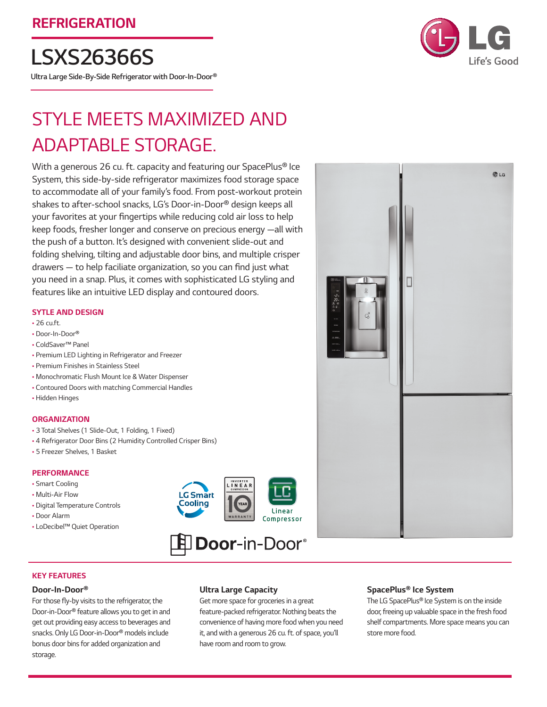*LSXS26366S*

*Ultra Large Side-By-Side Refrigerator with Door-In-Door®*



# Style Meets Maximized and Adaptable Storage.

With a generous 26 cu. ft. capacity and featuring our SpacePlus<sup>®</sup> Ice System, this side-by-side refrigerator maximizes food storage space to accommodate all of your family's food. From post-workout protein shakes to after-school snacks, LG's Door-in-Door® design keeps all your favorites at your fingertips while reducing cold air loss to help keep foods, fresher longer and conserve on precious energy —all with the push of a button. It's designed with convenient slide-out and folding shelving, tilting and adjustable door bins, and multiple crisper drawers — to help faciliate organization, so you can find just what you need in a snap. Plus, it comes with sophisticated LG styling and features like an intuitive LED display and contoured doors.

## *SYTLE AND DESIGN*

- 26 cu.ft.
- Door-In-Door®
- ColdSaver™ Panel
- Premium LED Lighting in Refrigerator and Freezer
- Premium Finishes in Stainless Steel
- Monochromatic Flush Mount Ice & Water Dispenser
- Contoured Doors with matching Commercial Handles
- Hidden Hinges

## *ORGANIZATION*

- 3 Total Shelves (1 Slide-Out, 1 Folding, 1 Fixed)
- 4 Refrigerator Door Bins (2 Humidity Controlled Crisper Bins)
- 5 Freezer Shelves, 1 Basket

## *PERFORMANCE*

- Smart Cooling
- Multi-Air Flow
- Digital Temperature Controls
- Door Alarm
- LoDecibel™ Quiet Operation





## *KEY FEATURES*

## *Door-In-Door®*

For those fly-by visits to the refrigerator, the Door-in-Door® feature allows you to get in and get out providing easy access to beverages and snacks. Only LG Door-in-Door® models include bonus door bins for added organization and storage.

## *Ultra Large Capacity*

Get more space for groceries in a great feature-packed refrigerator. Nothing beats the convenience of having more food when you need it, and with a generous 26 cu. ft. of space, you'll have room and room to grow.



## *SpacePlus® Ice System*

The LG SpacePlus® Ice System is on the inside door, freeing up valuable space in the fresh food shelf compartments. More space means you can store more food.